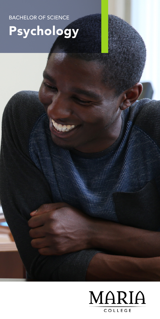BACHELOR OF SCIENCE

# Psychology

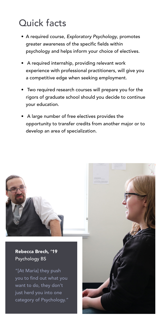## Quick facts

- A required course, *Exploratory Psychology*, promotes greater awareness of the specific fields within psychology and helps inform your choice of electives.
- A required internship, providing relevant work experience with professional practitioners, will give you a competitive edge when seeking employment.
- Two required research courses will prepare you for the rigors of graduate school should you decide to continue your education.
- A large number of free electives provides the opportunity to transfer credits from another major or to develop an area of specialization.

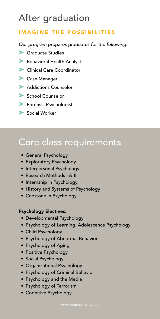## After graduation

### IMAGINE THE POSSIBILITIES

*Our program prepares graduates for the following:*

- Graduate Studies
- Behavioral Health Analyst
- **Clinical Care Coordinator**
- Case Manager
- **Addictions Counselor**
- School Counselor
- Forensic Psychologist
- Social Worker

## Core class requirements

- General Psychology
- Exploratory Psychology
- Interpersonal Psychology
- Research Methods I & II
- Internship in Psychology
- History and Systems of Psychology
- Capstone in Psychology

#### Psychology Electives:

- Developmental Psychology
- Psychology of Learning, Adolescence Psychology
- Child Psychology
- Psychology of Abnormal Behavior
- Psychology of Aging
- Positive Psychology
- Social Psychology
- Organizational Psychology
- Psychology of Criminal Behavior
- Psychology and the Media
- Psychology of Terrorism
- Cognitive Psychology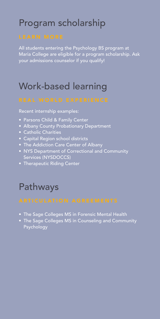## Program scholarship

All students entering the Psychology BS program at Maria College are eligible for a program scholarship. Ask your admissions counselor if you qualify!

## Work-based learning

Recent internship examples:

- Parsons Child & Family Center
- Albany County Probationary Department
- Catholic Charities
- Capital Region school districts
- The Addiction Care Center of Albany
- NYS Department of Correctional and Community Services (NYSDOCCS)
- Therapeutic Riding Center

## Pathways

- The Sage Colleges MS in Forensic Mental Health
- The Sage Colleges MS in Counseling and Community Psychology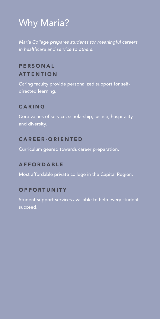## Why Maria?

*Maria College prepares students for meaningful careers in healthcare and service to others.*

### **PERSONAL ATTENTION**

Caring faculty provide personalized support for selfdirected learning.

### CARING

Core values of service, scholarship, justice, hospitality and diversity.

#### CAREER-ORIENTED

Curriculum geared towards career preparation.

#### AFFORDABLE

Most affordable private college in the Capital Region.

#### **OPPORTUNITY**

Student support services available to help every student succeed.